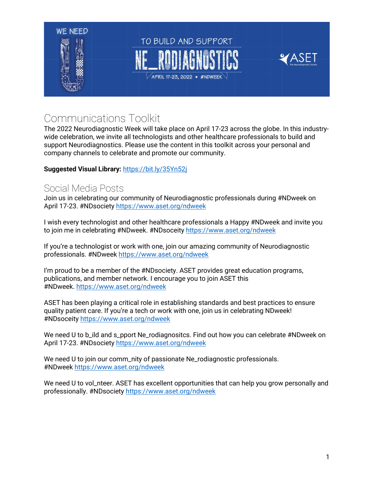

# Communications Toolkit

The 2022 Neurodiagnostic Week will take place on April 17-23 across the globe. In this industrywide celebration, we invite all technologists and other healthcare professionals to build and support Neurodiagnostics. Please use the content in this toolkit across your personal and company channels to celebrate and promote our community.

#### **Suggested Visual Library:** <https://bit.ly/35Yn52j>

## Social Media Posts

Join us in celebrating our community of Neurodiagnostic professionals during #NDweek on April 17-23. #NDsociety <https://www.aset.org/ndweek>

I wish every technologist and other healthcare professionals a Happy #NDweek and invite you to join me in celebrating #NDweek. #NDsoceity <https://www.aset.org/ndweek>

If you're a technologist or work with one, join our amazing community of Neurodiagnostic professionals. #NDweek <https://www.aset.org/ndweek>

I'm proud to be a member of the #NDsociety. ASET provides great education programs, publications, and member network. I encourage you to join ASET this #NDweek. <https://www.aset.org/ndweek>

ASET has been playing a critical role in establishing standards and best practices to ensure quality patient care. If you're a tech or work with one, join us in celebrating NDweek! #NDsoceity <https://www.aset.org/ndweek>

We need U to b\_ild and s\_pport Ne\_rodiagnositcs. Find out how you can celebrate #NDweek on April 17-23. #NDsociety <https://www.aset.org/ndweek>

We need U to join our comm\_nity of passionate Ne\_rodiagnostic professionals. #NDweek <https://www.aset.org/ndweek>

We need U to vol\_nteer. ASET has excellent opportunities that can help you grow personally and professionally. #NDsociety <https://www.aset.org/ndweek>